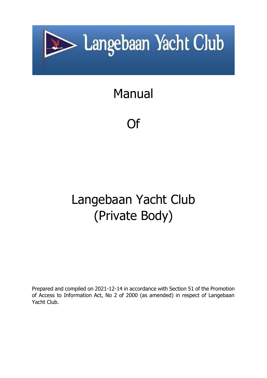

# Manual

Of

# Langebaan Yacht Club (Private Body)

Prepared and compiled on 2021-12-14 in accordance with Section 51 of the Promotion of Access to Information Act, No 2 of 2000 (as amended) in respect of Langebaan Yacht Club.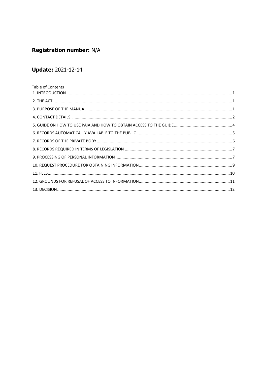# **Registration number: N/A**

# **Update: 2021-12-14**

| Table of Contents |  |
|-------------------|--|
|                   |  |
|                   |  |
|                   |  |
|                   |  |
|                   |  |
|                   |  |
|                   |  |
|                   |  |
|                   |  |
|                   |  |
|                   |  |
|                   |  |
|                   |  |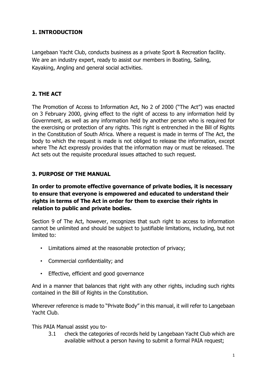# <span id="page-2-0"></span>**1. INTRODUCTION**

Langebaan Yacht Club, conducts business as a private Sport & Recreation facility. We are an industry expert, ready to assist our members in Boating, Sailing, Kayaking, Angling and general social activities.

# <span id="page-2-1"></span>**2. THE ACT**

The Promotion of Access to Information Act, No 2 of 2000 ("The Act") was enacted on 3 February 2000, giving effect to the right of access to any information held by Government, as well as any information held by another person who is required for the exercising or protection of any rights. This right is entrenched in the Bill of Rights in the Constitution of South Africa. Where a request is made in terms of The Act, the body to which the request is made is not obliged to release the information, except where The Act expressly provides that the information may or must be released. The Act sets out the requisite procedural issues attached to such request.

# <span id="page-2-2"></span>**3. PURPOSE OF THE MANUAL**

# **In order to promote effective governance of private bodies, it is necessary to ensure that everyone is empowered and educated to understand their rights in terms of The Act in order for them to exercise their rights in relation to public and private bodies.**

Section 9 of The Act, however, recognizes that such right to access to information cannot be unlimited and should be subject to justifiable limitations, including, but not limited to:

- Limitations aimed at the reasonable protection of privacy;
- Commercial confidentiality; and
- Effective, efficient and good governance

And in a manner that balances that right with any other rights, including such rights contained in the Bill of Rights in the Constitution.

Wherever reference is made to "Private Body" in this manual, it will refer to Langebaan Yacht Club.

This PAIA Manual assist you to-

3.1 check the categories of records held by Langebaan Yacht Club which are available without a person having to submit a formal PAIA request;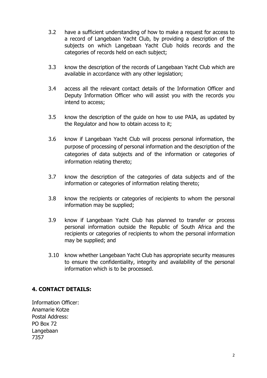- 3.2 have a sufficient understanding of how to make a request for access to a record of Langebaan Yacht Club, by providing a description of the subjects on which Langebaan Yacht Club holds records and the categories of records held on each subject;
- 3.3 know the description of the records of Langebaan Yacht Club which are available in accordance with any other legislation;
- 3.4 access all the relevant contact details of the Information Officer and Deputy Information Officer who will assist you with the records you intend to access;
- 3.5 know the description of the guide on how to use PAIA, as updated by the Regulator and how to obtain access to it;
- 3.6 know if Langebaan Yacht Club will process personal information, the purpose of processing of personal information and the description of the categories of data subjects and of the information or categories of information relating thereto;
- 3.7 know the description of the categories of data subjects and of the information or categories of information relating thereto;
- 3.8 know the recipients or categories of recipients to whom the personal information may be supplied;
- 3.9 know if Langebaan Yacht Club has planned to transfer or process personal information outside the Republic of South Africa and the recipients or categories of recipients to whom the personal information may be supplied; and
- 3.10 know whether Langebaan Yacht Club has appropriate security measures to ensure the confidentiality, integrity and availability of the personal information which is to be processed.

# <span id="page-3-0"></span>**4. CONTACT DETAILS:**

Information Officer: Anamarie Kotze Postal Address: PO Box 72 Langebaan 7357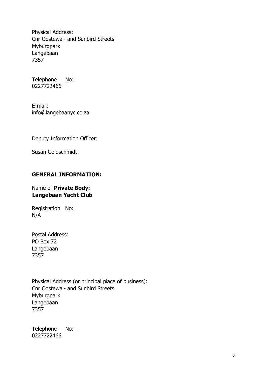Physical Address: Cnr Oostewal- and Sunbird Streets **Myburgpark** Langebaan 7357

Telephone No: 0227722466

E-mail: info@langebaanyc.co.za

Deputy Information Officer:

Susan Goldschmidt

#### **GENERAL INFORMATION:**

#### Name of **Private Body: Langebaan Yacht Club**

Registration No: N/A

Postal Address: PO Box 72 Langebaan 7357

Physical Address (or principal place of business): Cnr Oostewal- and Sunbird Streets Myburgpark Langebaan 7357

Telephone No: 0227722466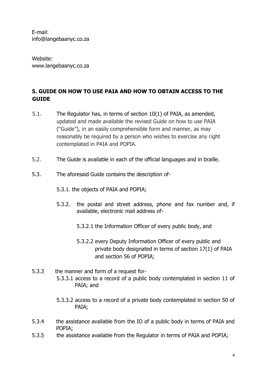E-mail: info@langebaanyc.co.za

Website: www.langebaanyc.co.za

# <span id="page-5-0"></span>**5. GUIDE ON HOW TO USE PAIA AND HOW TO OBTAIN ACCESS TO THE GUIDE**

- 5.1. The Regulator has, in terms of section 10(1) of PAIA, as amended, updated and made available the revised Guide on how to use PAIA ("Guide"), in an easily comprehensible form and manner, as may reasonably be required by a person who wishes to exercise any right contemplated in PAIA and POPIA.
- 5.2. The Guide is available in each of the official languages and in braille.
- 5.3. The aforesaid Guide contains the description of-
	- 5.3.1. the objects of PAIA and POPIA;
	- 5.3.2. the postal and street address, phone and fax number and, if available, electronic mail address of-
		- 5.3.2.1 the Information Officer of every public body, and
		- 5.3.2.2 every Deputy Information Officer of every public and private body designated in terms of section 17(1) of PAIA and section 56 of POPIA;
- 5.3.3 the manner and form of a request for-5.3.3.1 access to a record of a public body contemplated in section 11 of PAIA; and
	- 5.3.3.2 access to a record of a private body contemplated in section 50 of PAIA;
- 5.3.4 the assistance available from the IO of a public body in terms of PAIA and POPIA;
- 5.3.5 the assistance available from the Regulator in terms of PAIA and POPIA;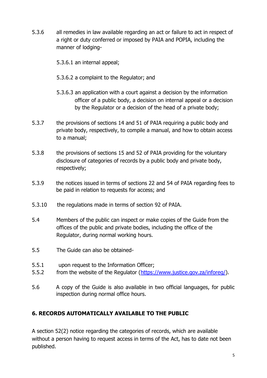5.3.6 all remedies in law available regarding an act or failure to act in respect of a right or duty conferred or imposed by PAIA and POPIA, including the manner of lodging-

5.3.6.1 an internal appeal;

- 5.3.6.2 a complaint to the Regulator; and
- 5.3.6.3 an application with a court against a decision by the information officer of a public body, a decision on internal appeal or a decision by the Regulator or a decision of the head of a private body;
- 5.3.7 the provisions of sections 14 and 51 of PAIA requiring a public body and private body, respectively, to compile a manual, and how to obtain access to a manual;
- 5.3.8 the provisions of sections 15 and 52 of PAIA providing for the voluntary disclosure of categories of records by a public body and private body, respectively;
- 5.3.9 the notices issued in terms of sections 22 and 54 of PAIA regarding fees to be paid in relation to requests for access; and
- 5.3.10 the regulations made in terms of section 92 of PAIA.
- 5.4 Members of the public can inspect or make copies of the Guide from the offices of the public and private bodies, including the office of the Regulator, during normal working hours.
- 5.5 The Guide can also be obtained-
- 5.5.1 upon request to the Information Officer;
- 5.5.2 from the website of the Regulator [\(https://www.justice.gov.za/inforeg/\)](https://www.justice.gov.za/inforeg/).
- 5.6 A copy of the Guide is also available in two official languages, for public inspection during normal office hours.

# <span id="page-6-0"></span>**6. RECORDS AUTOMATICALLY AVAILABLE TO THE PUBLIC**

A section 52(2) notice regarding the categories of records, which are available without a person having to request access in terms of the Act, has to date not been published.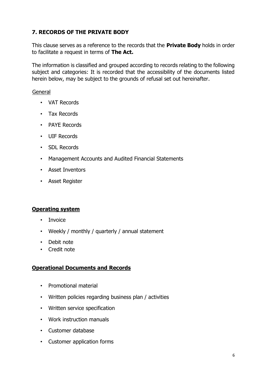# <span id="page-7-0"></span>**7. RECORDS OF THE PRIVATE BODY**

This clause serves as a reference to the records that the **Private Body** holds in order to facilitate a request in terms of **The Act.**

The information is classified and grouped according to records relating to the following subject and categories: It is recorded that the accessibility of the documents listed herein below, may be subject to the grounds of refusal set out hereinafter.

#### **General**

- VAT Records
- Tax Records
- PAYE Records
- UIF Records
- SDL Records
- Management Accounts and Audited Financial Statements
- Asset Inventors
- Asset Register

#### **Operating system**

- Invoice
- Weekly / monthly / quarterly / annual statement
- Debit note
- Credit note

#### **Operational Documents and Records**

- Promotional material
- Written policies regarding business plan / activities
- Written service specification
- Work instruction manuals
- Customer database
- Customer application forms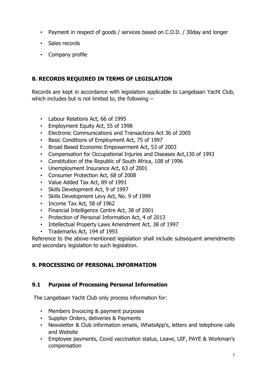- Payment in respect of goods / services based on C.O.D. / 30day and longer
- Sales records
- Company profile

# <span id="page-8-0"></span>**8. RECORDS REQUIRED IN TERMS OF LEGISLATION**

Records are kept in accordance with legislation applicable to Langebaan Yacht Club, which includes but is not limited to, the following  $-$ 

- Labour Relations Act, 66 of 1995
- Employment Equity Act, 55 of 1998
- Electronic Communications and Transactions Act 36 of 2005
- Basic Conditions of Employment Act, 75 of 1997
- Broad Based Economic Empowerment Act, 53 of 2003
- Compensation for Occupational Injuries and Diseases Act,130 of 1993
- Constitution of the Republic of South Africa, 108 of 1996
- Unemployment Insurance Act, 63 of 2001
- Consumer Protection Act, 68 of 2008
- Value Added Tax Act, 89 of 1991
- Skills Development Act, 9 of 1997
- Skills Development Levy Act, No. 9 of 1999
- Income Tax Act, 58 of 1962
- Financial Intelligence Centre Act, 38 of 2001
- Protection of Personal Information Act, 4 of 2013
- Intellectual Property Laws Amendment Act, 38 of 1997
- Trademarks Act, 194 of 1993

Reference to the above-mentioned legislation shall include subsequent amendments and secondary legislation to such legislation.

# <span id="page-8-1"></span>**9. PROCESSING OF PERSONAL INFORMATION**

# **9.1 Purpose of Processing Personal Information**

The Langebaan Yacht Club only process information for:

- Members Invoicing & payment purposes
- Supplier Orders, deliveries & Payments
- Newsletter & Club information emails, WhatsApp's, letters and telephone calls and Website
- Employee payments, Covid vaccination status, Leave, UIF, PAYE & Workman's compensation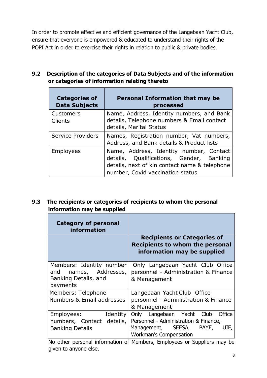In order to promote effective and efficient governance of the Langebaan Yacht Club, ensure that everyone is empowered & educated to understand their rights of the POPI Act in order to exercise their rights in relation to public & private bodies.

# **9.2 Description of the categories of Data Subjects and of the information or categories of information relating thereto**

| <b>Categories of</b><br><b>Data Subjects</b> | <b>Personal Information that may be</b><br>processed                                                                                                                     |
|----------------------------------------------|--------------------------------------------------------------------------------------------------------------------------------------------------------------------------|
| Customers<br><b>Clients</b>                  | Name, Address, Identity numbers, and Bank<br>details, Telephone numbers & Email contact<br>details, Marital Status                                                       |
| <b>Service Providers</b>                     | Names, Registration number, Vat numbers,<br>Address, and Bank details & Product lists                                                                                    |
| Employees                                    | Name, Address, Identity number, Contact<br>details, Qualifications, Gender, Banking<br>details, next of kin contact name & telephone<br>number, Covid vaccination status |

# **9.3 The recipients or categories of recipients to whom the personal information may be supplied**

| <b>Category of personal</b><br>information                                               |                                                                                                                                                      |
|------------------------------------------------------------------------------------------|------------------------------------------------------------------------------------------------------------------------------------------------------|
|                                                                                          | <b>Recipients or Categories of</b><br><b>Recipients to whom the personal</b><br>information may be supplied                                          |
| Members: Identity number<br>names, Addresses,<br>and<br>Banking Details, and<br>payments | Only Langebaan Yacht Club Office<br>personnel - Administration & Finance<br>& Management                                                             |
| Members: Telephone<br>Numbers & Email addresses                                          | Langebaan Yacht Club Office<br>personnel - Administration & Finance<br>& Management                                                                  |
| Identity<br>Employees:<br>numbers, Contact details,<br><b>Banking Details</b>            | Only Langebaan Yacht Club<br>Office<br>Personnel - Administration & Finance,<br>Management, SEESA,<br>PAYE,<br>UIF,<br><b>Workman's Compensation</b> |

No other personal information of Members, Employees or Suppliers may be given to anyone else.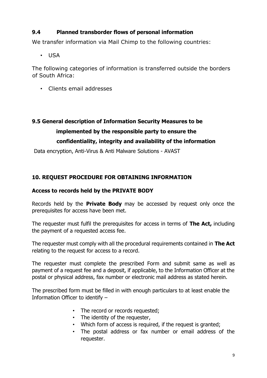# **9.4 Planned transborder flows of personal information**

We transfer information via Mail Chimp to the following countries:

• USA

The following categories of information is transferred outside the borders of South Africa:

• Clients email addresses

# **9.5 General description of Information Security Measures to be implemented by the responsible party to ensure the confidentiality, integrity and availability of the information**

Data encryption, Anti-Virus & Anti Malware Solutions - AVAST

# <span id="page-10-0"></span>**10. REQUEST PROCEDURE FOR OBTAINING INFORMATION**

### **Access to records held by the PRIVATE BODY**

Records held by the **Private Body** may be accessed by request only once the prerequisites for access have been met.

The requester must fulfil the prerequisites for access in terms of **The Act,** including the payment of a requested access fee.

The requester must comply with all the procedural requirements contained in **The Act**  relating to the request for access to a record.

The requester must complete the prescribed Form and submit same as well as payment of a request fee and a deposit, if applicable, to the Information Officer at the postal or physical address, fax number or electronic mail address as stated herein.

The prescribed form must be filled in with enough particulars to at least enable the Information Officer to identify –

- The record or records requested:
- The identity of the requester,
- Which form of access is required, if the request is granted;
- The postal address or fax number or email address of the requester.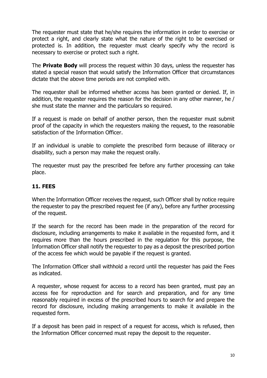The requester must state that he/she requires the information in order to exercise or protect a right, and clearly state what the nature of the right to be exercised or protected is. In addition, the requester must clearly specify why the record is necessary to exercise or protect such a right.

The **Private Body** will process the request within 30 days, unless the requester has stated a special reason that would satisfy the Information Officer that circumstances dictate that the above time periods are not complied with.

The requester shall be informed whether access has been granted or denied. If, in addition, the requester requires the reason for the decision in any other manner, he / she must state the manner and the particulars so required.

If a request is made on behalf of another person, then the requester must submit proof of the capacity in which the requesters making the request, to the reasonable satisfaction of the Information Officer.

If an individual is unable to complete the prescribed form because of illiteracy or disability, such a person may make the request orally.

The requester must pay the prescribed fee before any further processing can take place.

# <span id="page-11-0"></span>**11. FEES**

When the Information Officer receives the request, such Officer shall by notice require the requester to pay the prescribed request fee (if any), before any further processing of the request.

If the search for the record has been made in the preparation of the record for disclosure, including arrangements to make it available in the requested form, and it requires more than the hours prescribed in the regulation for this purpose, the Information Officer shall notify the requester to pay as a deposit the prescribed portion of the access fee which would be payable if the request is granted.

The Information Officer shall withhold a record until the requester has paid the Fees as indicated.

A requester, whose request for access to a record has been granted, must pay an access fee for reproduction and for search and preparation, and for any time reasonably required in excess of the prescribed hours to search for and prepare the record for disclosure, including making arrangements to make it available in the requested form.

If a deposit has been paid in respect of a request for access, which is refused, then the Information Officer concerned must repay the deposit to the requester.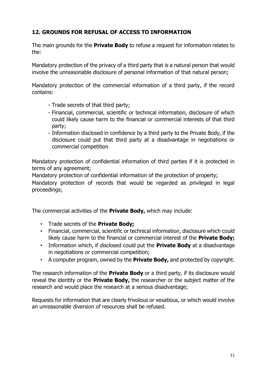# <span id="page-12-0"></span>**12. GROUNDS FOR REFUSAL OF ACCESS TO INFORMATION**

The main grounds for the **Private Body** to refuse a request for information relates to the:

Mandatory protection of the privacy of a third party that is a natural person that would involve the unreasonable disclosure of personal information of that natural person;

Mandatory protection of the commercial information of a third party, if the record contains:

- Trade secrets of that third party;
- Financial, commercial, scientific or technical information, disclosure of which could likely cause harm to the financial or commercial interests of that third party;
- Information disclosed in confidence by a third party to the Private Body, if the disclosure could put that third party at a disadvantage in negotiations or commercial competition

Mandatory protection of confidential information of third parties if it is protected in terms of any agreement;

Mandatory protection of confidential information of the protection of property;

Mandatory protection of records that would be regarded as privileged in legal proceedings;

The commercial activities of the **Private Body,** which may include:

- Trade secrets of the **Private Body;**
- Financial, commercial, scientific or technical information, disclosure which could likely cause harm to the financial or commercial interest of the **Private Body;**
- Information which, if disclosed could put the **Private Body** at a disadvantage in negotiations or commercial competition;
- A computer program, owned by the **Private Body,** and protected by copyright.

The research information of the **Private Body** or a third party, if its disclosure would reveal the identity or the **Private Body,** the researcher or the subject matter of the research and would place the research at a serious disadvantage;

Requests for information that are clearly frivolous or vexatious, or which would involve an unreasonable diversion of resources shall be refused.